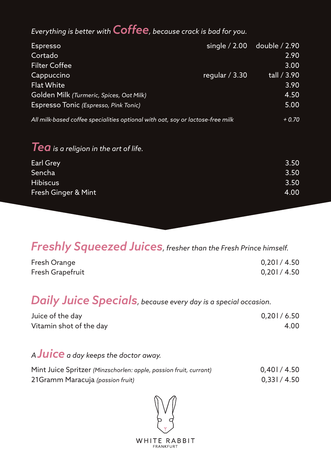#### *Everything is better with Coffee, because crack is bad for you.*

| <b>Espresso</b>                                                                |                 | single / 2.00 double / 2.90 |
|--------------------------------------------------------------------------------|-----------------|-----------------------------|
| Cortado                                                                        |                 | 2.90                        |
| <b>Filter Coffee</b>                                                           |                 | 3.00                        |
| Cappuccino                                                                     | regular $/3.30$ | tall / 3.90                 |
| <b>Flat White</b>                                                              |                 | 3.90                        |
| Golden Milk (Turmeric, Spices, Oat Milk)                                       |                 | 4.50                        |
| Espresso Tonic (Espresso, Pink Tonic)                                          |                 | 5.00                        |
| All milk-based coffee specialities optional with oat, soy or lactose-free milk |                 | $+0.70$                     |

#### *Tea is a religion in the art of life.*

| Earl Grey           | 3.50 |
|---------------------|------|
| Sencha              | 3.50 |
| <b>Hibiscus</b>     | 3.50 |
| Fresh Ginger & Mint | 4.00 |

#### *Freshly Squeezed Juices, fresher than the Fresh Prince himself.*

| Fresh Orange     | 0,201/4.50 |
|------------------|------------|
| Fresh Grapefruit | 0,201/4.50 |

# *Daily Juice Specials, because every day is a special occasion.*

| Juice of the day        | 0,201/6.50 |
|-------------------------|------------|
| Vitamin shot of the day | 4.00       |

#### *<sup>A</sup>Juice a day keeps the doctor away.*

| Mint Juice Spritzer (Minzschorlen: apple, passion fruit, currant) | 0.401/4.50   |
|-------------------------------------------------------------------|--------------|
| 21 Gramm Maracuja (passion fruit)                                 | 0.331 / 4.50 |